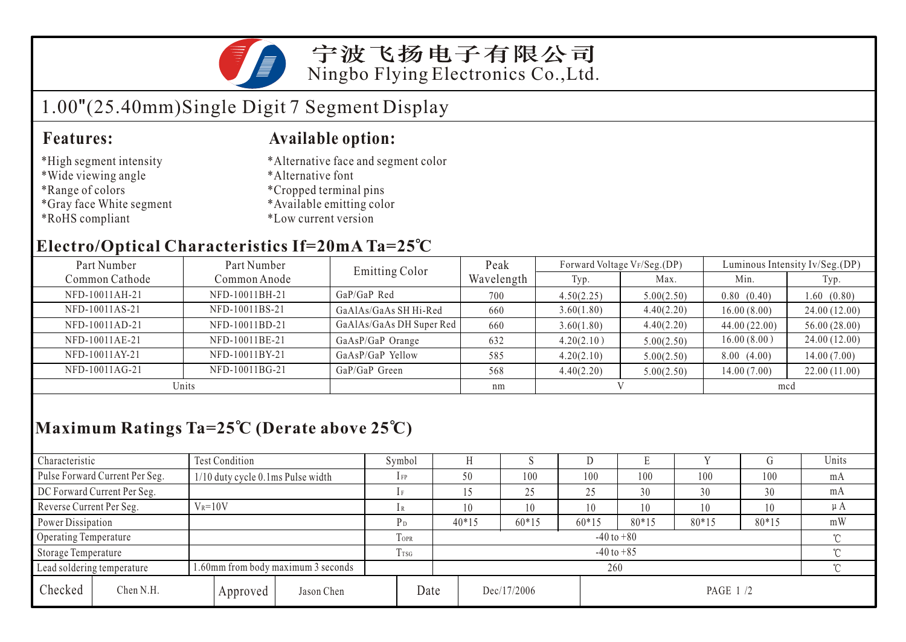

宁波飞扬电子有限公司 Ningbo Flying Electronics Co.,Ltd.

# 1.00"(25.40mm)Single Digit 7 Segment Display

#### **Features: Available option:**

- \*High segment intensity
- \*Wide viewing angle
- \*Range of colors
- \*Gray face White segment
- \*RoHS compliant
- \*Alternative face and segment color
- \*Alternative font
- \*Cropped terminal pins
- \*Available emitting color
- \*Low current version

### **Electro/Optical Characteristics If=20mA Ta=25 C**

| Part Number    | Part Number    | <b>Emitting Color</b>    | Peak       |            | Forward Voltage VF/Seg.(DP) | Luminous Intensity Iv/Seg.(DP) |              |  |
|----------------|----------------|--------------------------|------------|------------|-----------------------------|--------------------------------|--------------|--|
| Common Cathode | Common Anode   |                          | Wavelength | Typ.       | Max.                        | Min.                           | Typ.         |  |
| NFD-10011AH-21 | NFD-10011BH-21 | GaP/GaP Red              | 700        | 4.50(2.25) | 5.00(2.50)                  | 0.80(0.40)                     | 1.60(0.80)   |  |
| NFD-10011AS-21 | NFD-10011BS-21 | GaAlAs/GaAs SH Hi-Red    | 660        | 3.60(1.80) | 4.40(2.20)                  | 16.00(8.00)                    | 24.00(12.00) |  |
| NFD-10011AD-21 | NFD-10011BD-21 | GaAlAs/GaAs DH Super Red | 660        | 3.60(1.80) | 4.40(2.20)                  | 44.00(22.00)                   | 56.00(28.00) |  |
| NFD-10011AE-21 | NFD-10011BE-21 | GaAsP/GaP Orange         | 632        | 4.20(2.10) | 5.00(2.50)                  | 16.00(8.00)                    | 24.00(12.00) |  |
| NFD-10011AY-21 | NFD-10011BY-21 | GaAsP/GaP Yellow         | 585        | 4.20(2.10) | 5.00(2.50)                  | 8.00(4.00)                     | 14.00(7.00)  |  |
| NFD-10011AG-21 | NFD-10011BG-21 | GaP/GaP Green            | 568        | 4.40(2.20) | 5.00(2.50)                  | 14.00(7.00)                    | 22.00(11.00) |  |
| Units          |                |                          | nm         |            |                             | mcd                            |              |  |

## **Maximum Ratings Ta=25 C (Derate above 25 C)**

| Characteristic                                                   |                                | <b>Test Condition</b>             |                            |             | Symbol                   |  | Н           |         |         | Ľ.       |       |         | Units   |  |
|------------------------------------------------------------------|--------------------------------|-----------------------------------|----------------------------|-------------|--------------------------|--|-------------|---------|---------|----------|-------|---------|---------|--|
|                                                                  | Pulse Forward Current Per Seg. | 1/10 duty cycle 0.1ms Pulse width |                            |             | $1$ FP                   |  | 50          | 100     | 100     | 100      | 100   | 100     | mA      |  |
|                                                                  | DC Forward Current Per Seg.    |                                   |                            |             |                          |  | 25          | 25      | 30      | 30       | 30    | mA      |         |  |
| Reverse Current Per Seg.                                         |                                | $V_R = 10V$                       |                            |             | 1R                       |  | 10          | 10      | 10      | 10       | 10    | 10      | $\mu A$ |  |
| Power Dissipation                                                |                                |                                   |                            |             |                          |  | $40*15$     | $60*15$ | $60*15$ | 80*15    | 80*15 | $80*15$ | mW      |  |
| Operating Temperature                                            |                                |                                   |                            | <b>TOPR</b> | $-40$ to $+80$<br>$\sim$ |  |             |         |         |          |       |         |         |  |
| Storage Temperature                                              |                                | T <sub>rsG</sub>                  | $\gamma$<br>$-40$ to $+85$ |             |                          |  |             |         |         |          |       |         |         |  |
| 1.60mm from body maximum 3 seconds<br>Lead soldering temperature |                                |                                   |                            | 260         |                          |  |             |         |         |          | ∽     |         |         |  |
| Checked                                                          | Chen N.H.                      |                                   | Approved                   | Jason Chen  | Date                     |  | Dec/17/2006 |         |         | PAGE 1/2 |       |         |         |  |